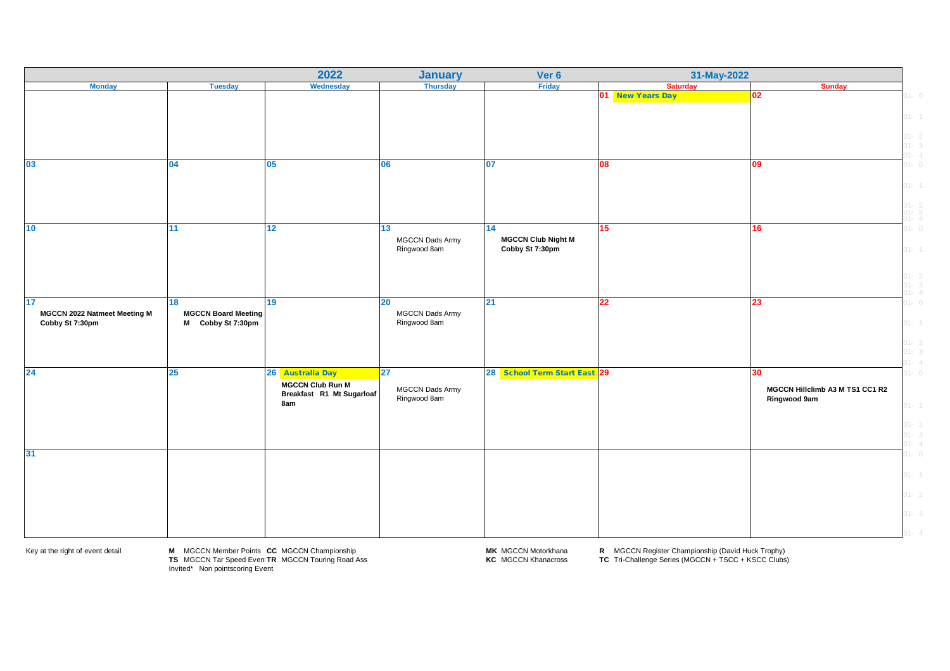|                              |                            | 2022                      | <b>January</b>         | Ver 6                        | 31-May-2022      |                                 |                                              |
|------------------------------|----------------------------|---------------------------|------------------------|------------------------------|------------------|---------------------------------|----------------------------------------------|
| <b>Monday</b>                | <b>Tuesday</b>             | Wednesday                 | <b>Thursday</b>        | Friday                       | <b>Saturday</b>  | <b>Sunday</b>                   |                                              |
|                              |                            |                           |                        |                              | 01 New Years Day | 02                              | $01 - 0$                                     |
|                              |                            |                           |                        |                              |                  |                                 | $01 - 1$                                     |
|                              |                            |                           |                        |                              |                  |                                 |                                              |
|                              |                            |                           |                        |                              |                  |                                 | $01 - 2$<br>$01 - 3$<br>$01 - 4$<br>$01 - 0$ |
|                              |                            |                           |                        |                              |                  |                                 |                                              |
| 03                           | 04                         | 05                        | <b>06</b>              | 07                           | 08               | )9                              |                                              |
|                              |                            |                           |                        |                              |                  |                                 | $01 - 1$                                     |
|                              |                            |                           |                        |                              |                  |                                 |                                              |
|                              |                            |                           |                        |                              |                  |                                 | $01 - 2$<br>$01 - 3$<br>$01 - 4$             |
| 10                           | 11                         | 12                        | 13                     | 14                           | 15               | 16                              | $01 - 0$                                     |
|                              |                            |                           | <b>MGCCN Dads Army</b> | <b>MGCCN Club Night M</b>    |                  |                                 |                                              |
|                              |                            |                           | Ringwood 8am           | Cobby St 7:30pm              |                  |                                 | $01 - 1$                                     |
|                              |                            |                           |                        |                              |                  |                                 |                                              |
|                              |                            |                           |                        |                              |                  |                                 |                                              |
|                              |                            |                           |                        |                              |                  |                                 | $01 - 2$<br>$01 - 3$<br>$01 - 4$             |
| 17                           | 18                         | 19                        | 20                     | 21                           | $22\,$           | 23                              | $01 - 0$                                     |
| MGCCN 2022 Natmeet Meeting M | <b>MGCCN Board Meeting</b> |                           | <b>MGCCN Dads Army</b> |                              |                  |                                 |                                              |
| Cobby St 7:30pm              | M Cobby St 7:30pm          |                           | Ringwood 8am           |                              |                  |                                 | $01 - 1$                                     |
|                              |                            |                           |                        |                              |                  |                                 | $01 - 2$<br>$01 - 3$                         |
|                              |                            |                           |                        |                              |                  |                                 |                                              |
| 24                           | 25                         | 26 Australia Day          | $\overline{27}$        | 28 School Term Start East 29 |                  | 30                              | $01 - 4$<br>$01 - 0$                         |
|                              |                            | <b>MGCCN Club Run M</b>   |                        |                              |                  |                                 |                                              |
|                              |                            | Breakfast R1 Mt Sugarloaf | MGCCN Dads Army        |                              |                  | MGCCN Hillclimb A3 M TS1 CC1 R2 |                                              |
|                              |                            | 8am                       | Ringwood 8am           |                              |                  | Ringwood 9am                    | $01 - 1$                                     |
|                              |                            |                           |                        |                              |                  |                                 |                                              |
|                              |                            |                           |                        |                              |                  |                                 |                                              |
|                              |                            |                           |                        |                              |                  |                                 | $01 - 2$<br>$01 - 3$<br>$01 - 4$             |
| 31                           |                            |                           |                        |                              |                  |                                 | $01 - 0$                                     |
|                              |                            |                           |                        |                              |                  |                                 |                                              |
|                              |                            |                           |                        |                              |                  |                                 | $01 - 1$                                     |
|                              |                            |                           |                        |                              |                  |                                 | $01 - 2$                                     |
|                              |                            |                           |                        |                              |                  |                                 | $01 - 3$                                     |
|                              |                            |                           |                        |                              |                  |                                 |                                              |
|                              |                            |                           |                        |                              |                  |                                 |                                              |

Key at the right of event detail **M** MGCCN Member Points **CC** MGCCN Championship **MK** MGCCN Motorkhana **R** MGCCN Register Championship (David Huck Trophy)<br> **TS** MGCCN Tar Speed Even TR MGCCN Touring Road Ass **KC** MGCCN Kha TS MGCCN Tar Speed EventTR MGCCN Touring Road Ass **KC MGCCN Khanacross FC** Tri-Challenge Series (MGCCN + TSCC + KSCC Clubs)<br>Invited\* Non pointscoring Event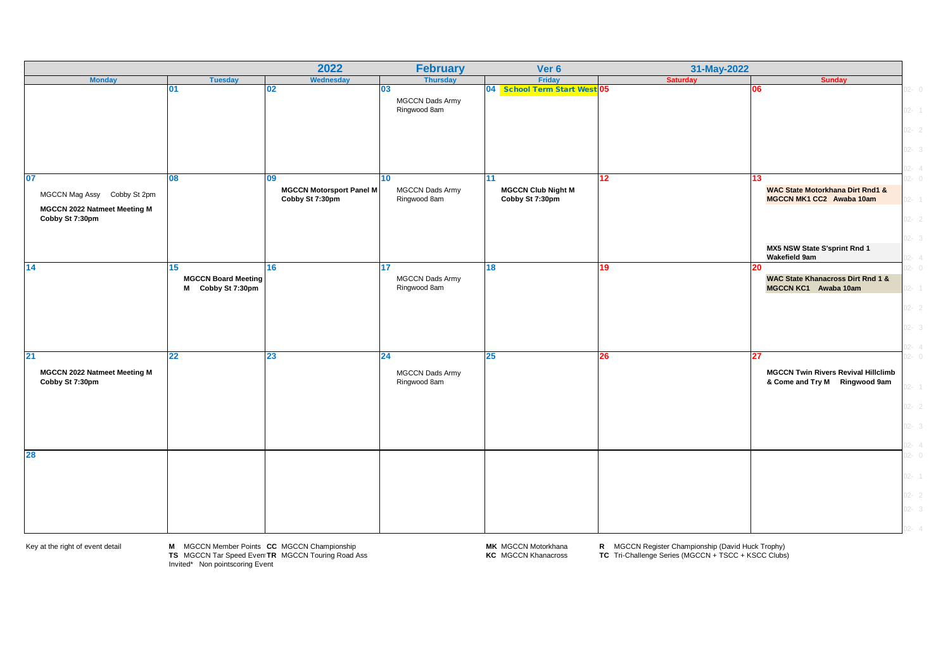|                                                             |                                                          | 2022                                               | <b>February</b>                              | Ver 6                                        | 31-May-2022     |                                                                                   |                      |
|-------------------------------------------------------------|----------------------------------------------------------|----------------------------------------------------|----------------------------------------------|----------------------------------------------|-----------------|-----------------------------------------------------------------------------------|----------------------|
| <b>Monday</b>                                               | <b>Tuesday</b>                                           | Wednesday                                          | <b>Thursday</b>                              | Friday                                       | <b>Saturday</b> | <b>Sunday</b>                                                                     |                      |
|                                                             | 01                                                       | 02 <sub>2</sub>                                    | 03<br><b>MGCCN Dads Army</b><br>Ringwood 8am | 04 School Term Start West 05                 |                 | 06                                                                                | $2 - 0$<br>$02 - 1$  |
|                                                             |                                                          |                                                    |                                              |                                              |                 |                                                                                   | $02 - 2$             |
| 07                                                          | 08                                                       | 09                                                 | 10 <sup>1</sup>                              | 11                                           | 12              | 13                                                                                | $02 - 3$<br>$2 - 4$  |
| MGCCN Mag Assy Cobby St 2pm<br>MGCCN 2022 Natmeet Meeting M |                                                          | <b>MGCCN Motorsport Panel M</b><br>Cobby St 7:30pm | <b>MGCCN Dads Army</b><br>Ringwood 8am       | <b>MGCCN Club Night M</b><br>Cobby St 7:30pm |                 | <b>WAC State Motorkhana Dirt Rnd1 &amp;</b><br>MGCCN MK1 CC2 Awaba 10am           |                      |
| Cobby St 7:30pm                                             |                                                          |                                                    |                                              |                                              |                 | MX5 NSW State S'sprint Rnd 1                                                      | $02 - 2$             |
|                                                             |                                                          |                                                    |                                              |                                              |                 | Wakefield 9am                                                                     |                      |
| 14                                                          | 15<br><b>MGCCN Board Meeting</b><br>Cobby St 7:30pm<br>М | 16 <sup>°</sup>                                    | 17<br><b>MGCCN Dads Army</b><br>Ringwood 8am | 18                                           | 19              | 20<br><b>WAC State Khanacross Dirt Rnd 1 &amp;</b><br>MGCCN KC1 Awaba 10am        | $2 - 0$<br>$2 -$     |
|                                                             |                                                          |                                                    |                                              |                                              |                 |                                                                                   | $02 - 2$<br>$2 - 3$  |
|                                                             |                                                          |                                                    |                                              |                                              |                 |                                                                                   |                      |
| 21<br>MGCCN 2022 Natmeet Meeting M<br>Cobby St 7:30pm       | 22                                                       | 23                                                 | 24<br>MGCCN Dads Army<br>Ringwood 8am        | 25                                           | 26              | 27<br><b>MGCCN Twin Rivers Revival Hillclimb</b><br>& Come and Try M Ringwood 9am |                      |
|                                                             |                                                          |                                                    |                                              |                                              |                 |                                                                                   | $02 - 2$<br>$2 - 3$  |
| 28                                                          |                                                          |                                                    |                                              |                                              |                 |                                                                                   | $2 - 4$<br>$02 - 0$  |
|                                                             |                                                          |                                                    |                                              |                                              |                 |                                                                                   | $02 - 1$<br>$02 - 2$ |
|                                                             |                                                          |                                                    |                                              |                                              |                 |                                                                                   | $02 - 3$             |
|                                                             |                                                          |                                                    |                                              |                                              |                 |                                                                                   |                      |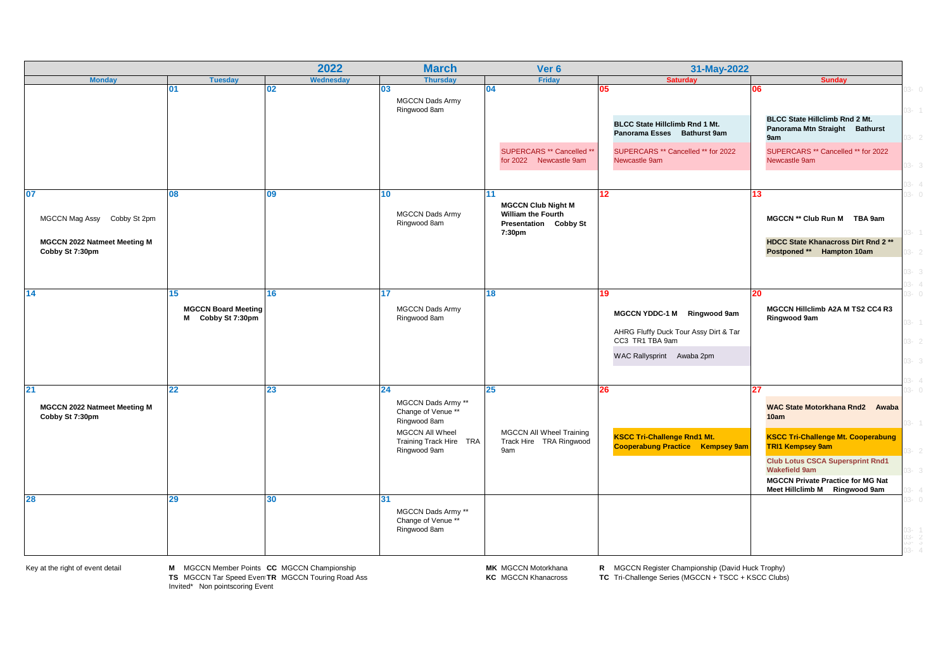|                                                 |                                                       | 2022            | <b>March</b>                                               | Ver 6                                                                           | 31-May-2022                                                                                                                |                                                                                                             |
|-------------------------------------------------|-------------------------------------------------------|-----------------|------------------------------------------------------------|---------------------------------------------------------------------------------|----------------------------------------------------------------------------------------------------------------------------|-------------------------------------------------------------------------------------------------------------|
| <b>Monday</b>                                   | <b>Tuesday</b>                                        | Wednesday       | <b>Thursday</b>                                            | Friday                                                                          | <b>Saturday</b>                                                                                                            | <b>Sunday</b>                                                                                               |
|                                                 | 01                                                    | 02              | 03<br><b>MGCCN Dads Army</b><br>Ringwood 8am               | 04                                                                              | 05                                                                                                                         | 06                                                                                                          |
|                                                 |                                                       |                 |                                                            |                                                                                 | BLCC State Hillclimb Rnd 1 Mt.<br>Panorama Esses Bathurst 9am                                                              | BLCC State Hillclimb Rnd 2 Mt.<br>Panorama Mtn Straight Bathurst<br>9am                                     |
|                                                 |                                                       |                 |                                                            | SUPERCARS ** Cancelled **<br>for 2022 Newcastle 9am                             | SUPERCARS ** Cancelled ** for 2022<br>Newcastle 9am                                                                        | SUPERCARS ** Cancelled ** for 2022<br>Newcastle 9am                                                         |
| 07                                              | 08                                                    | 09              | 10                                                         | 11                                                                              | $12 \,$                                                                                                                    | 13                                                                                                          |
| MGCCN Mag Assy Cobby St 2pm                     |                                                       |                 | <b>MGCCN Dads Army</b><br>Ringwood 8am                     | <b>MGCCN Club Night M</b><br><b>William the Fourth</b><br>Presentation Cobby St |                                                                                                                            | MGCCN ** Club Run M TBA 9am                                                                                 |
| MGCCN 2022 Natmeet Meeting M<br>Cobby St 7:30pm |                                                       |                 |                                                            | 7:30pm                                                                          |                                                                                                                            | HDCC State Khanacross Dirt Rnd 2**<br>Postponed ** Hampton 10am                                             |
|                                                 |                                                       |                 |                                                            |                                                                                 |                                                                                                                            |                                                                                                             |
| 14                                              | 15<br><b>MGCCN Board Meeting</b><br>M Cobby St 7:30pm | 16 <sup>1</sup> | 17<br>MGCCN Dads Army<br>Ringwood 8am                      | 18                                                                              | 19<br>MGCCN YDDC-1 M Ringwood 9am<br>AHRG Fluffy Duck Tour Assy Dirt & Tar<br>CC3 TR1 TBA 9am<br>WAC Rallysprint Awaba 2pm | 20<br>MGCCN Hillclimb A2A M TS2 CC4 R3<br>Ringwood 9am                                                      |
| 21                                              | 22                                                    | 23              | 24                                                         | 25                                                                              | 26                                                                                                                         | 27                                                                                                          |
| MGCCN 2022 Natmeet Meeting M<br>Cobby St 7:30pm |                                                       |                 | MGCCN Dads Army **<br>Change of Venue **<br>Ringwood 8am   |                                                                                 |                                                                                                                            | WAC State Motorkhana Rnd2 Awaba<br>10am                                                                     |
|                                                 |                                                       |                 | MGCCN All Wheel<br>Training Track Hire TRA<br>Ringwood 9am | <b>MGCCN All Wheel Training</b><br>Track Hire TRA Ringwood<br>9am               | <b>KSCC Tri-Challenge Rnd1 Mt.</b><br><b>Cooperabung Practice Kempsey 9am</b>                                              | <b>KSCC Tri-Challenge Mt. Cooperabung</b><br><b>TRI1 Kempsey 9am</b>                                        |
|                                                 |                                                       |                 |                                                            |                                                                                 |                                                                                                                            | <b>Club Lotus CSCA Supersprint Rnd1</b><br><b>Wakefield 9am</b><br><b>MGCCN Private Practice for MG Nat</b> |
| 28                                              | 29                                                    | 30              | 31<br>MGCCN Dads Army **<br>Change of Venue **             |                                                                                 |                                                                                                                            | Meet Hillclimb M Ringwood 9am                                                                               |
|                                                 |                                                       |                 | Ringwood 8am                                               |                                                                                 |                                                                                                                            |                                                                                                             |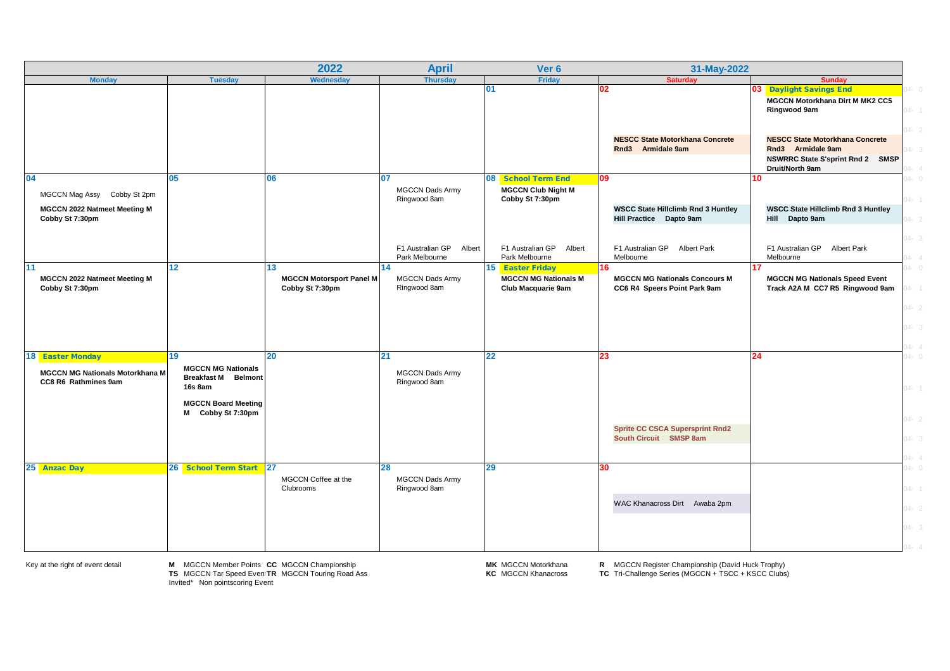|                                                                   |                                                                                                         | 2022                                               | <b>April</b>                                 | Ver 6                                                              | 31-May-2022                                                          |                                                                                                                    |                       |
|-------------------------------------------------------------------|---------------------------------------------------------------------------------------------------------|----------------------------------------------------|----------------------------------------------|--------------------------------------------------------------------|----------------------------------------------------------------------|--------------------------------------------------------------------------------------------------------------------|-----------------------|
| <b>Monday</b>                                                     | <b>Tuesday</b>                                                                                          | Wednesday                                          | <b>Thursday</b>                              | <b>Friday</b>                                                      | <b>Saturday</b>                                                      | <b>Sunday</b>                                                                                                      |                       |
|                                                                   |                                                                                                         |                                                    |                                              | 01                                                                 | 02                                                                   | 03 Daylight Savings End<br><b>MGCCN Motorkhana Dirt M MK2 CC5</b><br>Ringwood 9am                                  |                       |
|                                                                   |                                                                                                         |                                                    |                                              |                                                                    | <b>NESCC State Motorkhana Concrete</b><br>Rnd3 Armidale 9am          | <b>NESCC State Motorkhana Concrete</b><br>Rnd3 Armidale 9am<br>NSWRRC State S'sprint Rnd 2 SMSP<br>Druit/North 9am |                       |
| 04<br>MGCCN Mag Assy Cobby St 2pm<br>MGCCN 2022 Natmeet Meeting M | 05                                                                                                      | 06                                                 | 07<br><b>MGCCN Dads Army</b><br>Ringwood 8am | 08 School Term End<br><b>MGCCN Club Night M</b><br>Cobby St 7:30pm | 09<br><b>WSCC State Hillclimb Rnd 3 Huntley</b>                      | 10<br><b>WSCC State Hillclimb Rnd 3 Huntley</b>                                                                    |                       |
| Cobby St 7:30pm                                                   |                                                                                                         |                                                    | F1 Australian GP<br>Albert                   | F1 Australian GP Albert                                            | Hill Practice Dapto 9am<br>F1 Australian GP Albert Park              | Hill Dapto 9am<br>F1 Australian GP Albert Park                                                                     |                       |
| 11                                                                | 12                                                                                                      | 13                                                 | Park Melbourne<br>14                         | Park Melbourne<br>15 Easter Friday                                 | Melbourne<br>16                                                      | Melbourne<br>17                                                                                                    |                       |
| <b>MGCCN 2022 Natmeet Meeting M</b><br>Cobby St 7:30pm            |                                                                                                         | <b>MGCCN Motorsport Panel M</b><br>Cobby St 7:30pm | <b>MGCCN Dads Army</b><br>Ringwood 8am       | <b>MGCCN MG Nationals M</b><br>Club Macquarie 9am                  | <b>MGCCN MG Nationals Concours M</b><br>CC6 R4 Speers Point Park 9am | <b>MGCCN MG Nationals Speed Event</b><br>Track A2A M CC7 R5 Ringwood 9am                                           |                       |
|                                                                   |                                                                                                         |                                                    |                                              |                                                                    |                                                                      |                                                                                                                    | $-2$                  |
|                                                                   |                                                                                                         |                                                    |                                              |                                                                    |                                                                      |                                                                                                                    |                       |
| 18 Easter Monday                                                  | 19 <sup>°</sup>                                                                                         | 20 <sup>°</sup>                                    | 21                                           | 22                                                                 | 23                                                                   | 24                                                                                                                 | $4 - 0$               |
| <b>MGCCN MG Nationals Motorkhana M</b><br>CC8 R6 Rathmines 9am    | <b>MGCCN MG Nationals</b><br><b>Breakfast M</b> Belmont<br><b>16s 8am</b><br><b>MGCCN Board Meeting</b> |                                                    | <b>MGCCN Dads Army</b><br>Ringwood 8am       |                                                                    |                                                                      |                                                                                                                    | $4 -$                 |
|                                                                   | Cobby St 7:30pm<br>м                                                                                    |                                                    |                                              |                                                                    |                                                                      |                                                                                                                    | $-2$                  |
|                                                                   |                                                                                                         |                                                    |                                              |                                                                    | <b>Sprite CC CSCA Supersprint Rnd2</b><br>South Circuit SMSP 8am     |                                                                                                                    | $4 - 3$               |
|                                                                   |                                                                                                         |                                                    |                                              |                                                                    |                                                                      |                                                                                                                    |                       |
| 25 Anzac Day                                                      | 26 School Term Start 27                                                                                 | MGCCN Coffee at the<br>Clubrooms                   | 28<br><b>MGCCN Dads Army</b><br>Ringwood 8am | 29                                                                 | 30                                                                   |                                                                                                                    | $-14 - 0$<br>$04 - 1$ |
|                                                                   |                                                                                                         |                                                    |                                              |                                                                    | WAC Khanacross Dirt Awaba 2pm                                        |                                                                                                                    | $-2$                  |
|                                                                   |                                                                                                         |                                                    |                                              |                                                                    |                                                                      |                                                                                                                    | $-3$                  |
|                                                                   |                                                                                                         |                                                    |                                              |                                                                    |                                                                      |                                                                                                                    |                       |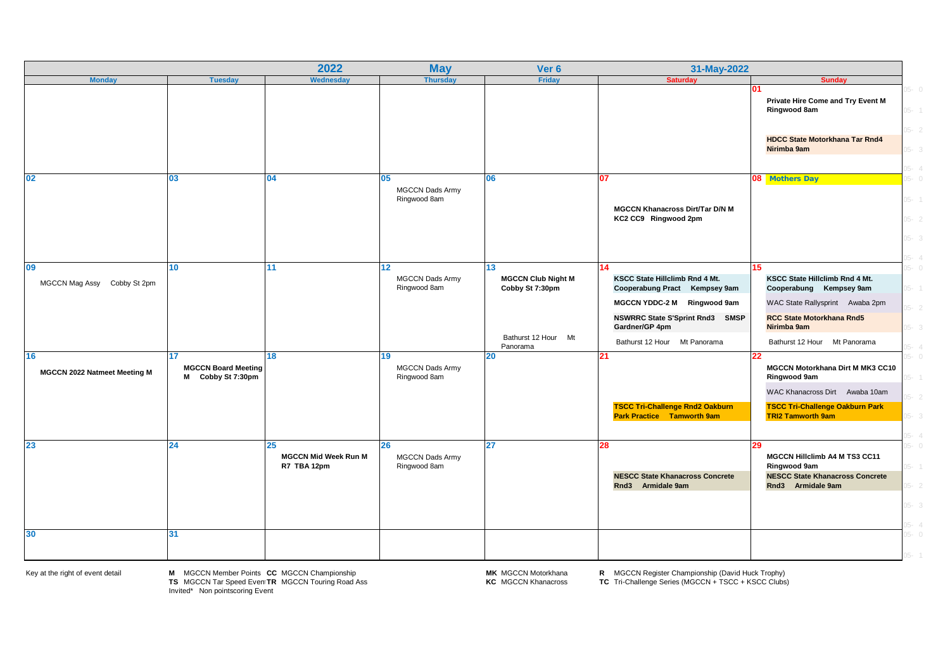|                                             |                                                       | 2022                                             | <b>May</b>                                   | Ver <sub>6</sub>                                                                      | 31-May-2022                                                                                                                                                                                      |                                                                                                                                                                                        |                                                           |
|---------------------------------------------|-------------------------------------------------------|--------------------------------------------------|----------------------------------------------|---------------------------------------------------------------------------------------|--------------------------------------------------------------------------------------------------------------------------------------------------------------------------------------------------|----------------------------------------------------------------------------------------------------------------------------------------------------------------------------------------|-----------------------------------------------------------|
| <b>Monday</b>                               | <b>Tuesday</b>                                        | Wednesday                                        | <b>Thursday</b>                              | Friday                                                                                | <b>Saturday</b>                                                                                                                                                                                  | <b>Sunday</b>                                                                                                                                                                          |                                                           |
|                                             |                                                       |                                                  |                                              |                                                                                       |                                                                                                                                                                                                  | 01<br>Private Hire Come and Try Event M<br>Ringwood 8am                                                                                                                                | $-5 - 0$<br>$-1$                                          |
|                                             |                                                       |                                                  |                                              |                                                                                       |                                                                                                                                                                                                  | <b>HDCC State Motorkhana Tar Rnd4</b><br>Nirimba 9am                                                                                                                                   | $05 - 2$<br>$-3$<br>$-15 - 4$                             |
| 02                                          | 03                                                    | 04                                               | 05<br><b>MGCCN Dads Army</b><br>Ringwood 8am | 06                                                                                    | 07<br><b>MGCCN Khanacross Dirt/Tar D/N M</b><br>KC2 CC9 Ringwood 2pm                                                                                                                             | 08 Mothers Day                                                                                                                                                                         | $05 - 0$<br>$05 - 1$<br>$05 - 2$<br>$05 - 3$<br>$-35 - 4$ |
| 09<br><b>MGCCN Mag Assy</b><br>Cobby St 2pm | 10                                                    | 11                                               | 12<br>MGCCN Dads Army<br>Ringwood 8am        | 13<br><b>MGCCN Club Night M</b><br>Cobby St 7:30pm<br>Bathurst 12 Hour Mt<br>Panorama | 14<br>KSCC State Hillclimb Rnd 4 Mt.<br>Cooperabung Pract Kempsey 9am<br>MGCCN YDDC-2 M Ringwood 9am<br><b>NSWRRC State S'Sprint Rnd3 SMSP</b><br>Gardner/GP 4pm<br>Bathurst 12 Hour Mt Panorama | 15.<br>KSCC State Hillclimb Rnd 4 Mt.<br>Cooperabung Kempsey 9am<br>WAC State Rallysprint Awaba 2pm<br><b>RCC State Motorkhana Rnd5</b><br>Nirimba 9am<br>Bathurst 12 Hour Mt Panorama | $0 - 5$<br>$-1$<br>$05 - 2$<br>$05 - 3$<br>$-15 - 4$      |
| 16<br>MGCCN 2022 Natmeet Meeting M          | 17<br><b>MGCCN Board Meeting</b><br>M Cobby St 7:30pm | 18                                               | 19<br><b>MGCCN Dads Army</b><br>Ringwood 8am | 20                                                                                    | 21<br><b>TSCC Tri-Challenge Rnd2 Oakburn</b><br><b>Park Practice Tamworth 9am</b>                                                                                                                | 22.<br>MGCCN Motorkhana Dirt M MK3 CC10<br>Ringwood 9am<br>WAC Khanacross Dirt Awaba 10am<br><b>TSCC Tri-Challenge Oakburn Park</b><br><b>TRI2 Tamworth 9am</b>                        | $0 - 5$<br>$-1$<br>$-2$<br>$05 - 3$<br>$-15 - 4$          |
| 23                                          | 24                                                    | 25<br><b>MGCCN Mid Week Run M</b><br>R7 TBA 12pm | 26<br><b>MGCCN Dads Army</b><br>Ringwood 8am | 27                                                                                    | 28<br><b>NESCC State Khanacross Concrete</b><br>Rnd3 Armidale 9am                                                                                                                                | 29<br>MGCCN Hillclimb A4 M TS3 CC11<br>Ringwood 9am<br><b>NESCC State Khanacross Concrete</b><br>Rnd3 Armidale 9am                                                                     | $0 - 5$<br>$-15 - 1$<br>$05 - 2$<br>$05 - 3$<br>$-15 - 4$ |
| 30                                          | 31                                                    |                                                  |                                              |                                                                                       |                                                                                                                                                                                                  |                                                                                                                                                                                        | $05 - 0$<br>$-1$                                          |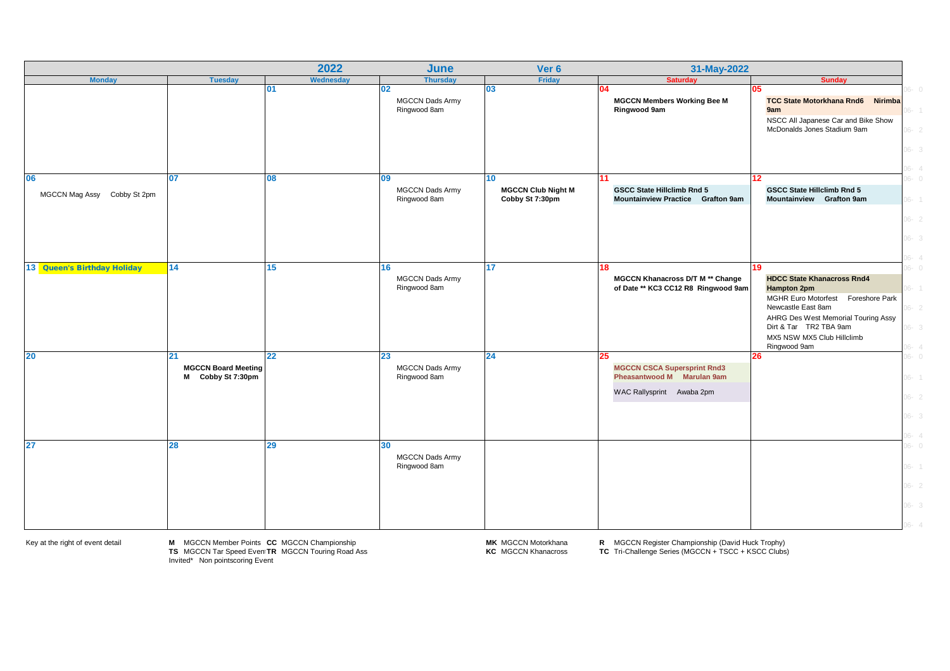|                                   |                                                       | 2022            | June                                         | Ver 6                                              | 31-May-2022                                                                                         |                                                                                                                                                                                                                          |                                                                      |
|-----------------------------------|-------------------------------------------------------|-----------------|----------------------------------------------|----------------------------------------------------|-----------------------------------------------------------------------------------------------------|--------------------------------------------------------------------------------------------------------------------------------------------------------------------------------------------------------------------------|----------------------------------------------------------------------|
| <b>Monday</b>                     | <b>Tuesday</b>                                        | Wednesday       | <b>Thursday</b>                              | Friday                                             | <b>Saturday</b>                                                                                     | <b>Sunday</b>                                                                                                                                                                                                            |                                                                      |
|                                   |                                                       | 01              | 02<br><b>MGCCN Dads Army</b><br>Ringwood 8am | 03                                                 | 04<br><b>MGCCN Members Working Bee M</b><br>Ringwood 9am                                            | 05<br><b>TCC State Motorkhana Rnd6 Nirimba</b><br>9am<br>NSCC All Japanese Car and Bike Show<br>McDonalds Jones Stadium 9am                                                                                              | $0 - 0$<br>$06 - 1$<br>$06 - 2$<br>$06 - 3$                          |
| 06<br>MGCCN Mag Assy Cobby St 2pm | 07                                                    | 80              | 09<br><b>MGCCN Dads Army</b><br>Ringwood 8am | 10<br><b>MGCCN Club Night M</b><br>Cobby St 7:30pm | 11<br><b>GSCC State Hillclimb Rnd 5</b><br>Mountainview Practice Grafton 9am                        | 12 <sup>2</sup><br><b>GSCC State Hillclimb Rnd 5</b><br>Mountainview Grafton 9am                                                                                                                                         | $06 - 4$<br>$0 - 30$<br>$06 - 1$                                     |
|                                   |                                                       |                 |                                              |                                                    |                                                                                                     |                                                                                                                                                                                                                          | $06 - 2$<br>$06 - 3$<br>$06 - 4$                                     |
| 13 Queen's Birthday Holiday       | 14                                                    | 15 <sub>1</sub> | 16<br><b>MGCCN Dads Army</b><br>Ringwood 8am | 17 <sub>1</sub>                                    | 18<br>MGCCN Khanacross D/T M ** Change<br>of Date ** KC3 CC12 R8 Ringwood 9am                       | 19<br><b>HDCC State Khanacross Rnd4</b><br><b>Hampton 2pm</b><br>MGHR Euro Motorfest Foreshore Park<br>Newcastle East 8am<br>AHRG Des West Memorial Touring Assy<br>Dirt & Tar TR2 TBA 9am<br>MX5 NSW MX5 Club Hillclimb | $0 - 30$<br>$06 - 1$<br>$06 - 2$<br>$06 - 3$                         |
| 20                                | 21<br><b>MGCCN Board Meeting</b><br>M Cobby St 7:30pm | 22 <sub>2</sub> | 23<br><b>MGCCN Dads Army</b><br>Ringwood 8am | 24                                                 | 25<br><b>MGCCN CSCA Supersprint Rnd3</b><br>Pheasantwood M Marulan 9am<br>WAC Rallysprint Awaba 2pm | Ringwood 9am<br>26                                                                                                                                                                                                       | $06 - 4$<br>$06 - 0$<br>$06 - 1$<br>$06 - 2$<br>$06 - 3$<br>$06 - 4$ |
| 27                                | 28                                                    | 29              | 30<br><b>MGCCN Dads Army</b><br>Ringwood 8am |                                                    |                                                                                                     |                                                                                                                                                                                                                          | $06 - 0$<br>$06 - 1$<br>$06 - 2$<br>$06 - 3$<br>$06 - 4$             |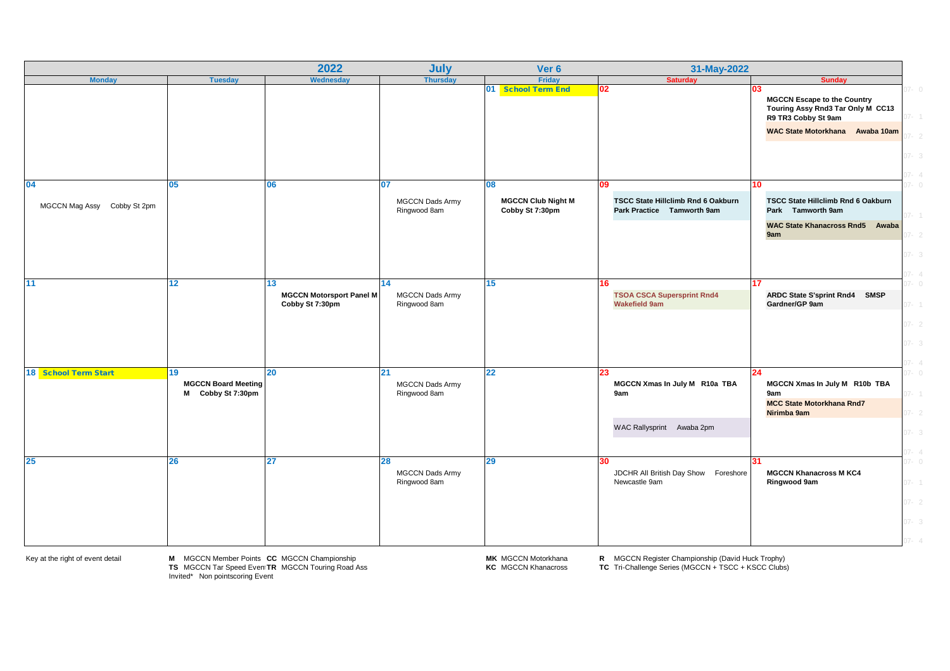|                                   |                                                       | 2022                                                     | July                                         | Ver <sub>6</sub>                                   | 31-May-2022                                                             |                                                                                                                                          |
|-----------------------------------|-------------------------------------------------------|----------------------------------------------------------|----------------------------------------------|----------------------------------------------------|-------------------------------------------------------------------------|------------------------------------------------------------------------------------------------------------------------------------------|
| <b>Monday</b>                     | <b>Tuesday</b>                                        | Wednesday                                                | <b>Thursday</b>                              | Friday                                             | <b>Saturday</b>                                                         | <b>Sunday</b>                                                                                                                            |
|                                   |                                                       |                                                          |                                              | 01 School Term End                                 | 02                                                                      | 03<br><b>MGCCN Escape to the Country</b><br>Touring Assy Rnd3 Tar Only M CC13<br>R9 TR3 Cobby St 9am<br>WAC State Motorkhana Awaba 10am  |
|                                   |                                                       |                                                          |                                              |                                                    |                                                                         |                                                                                                                                          |
| 04<br>MGCCN Mag Assy Cobby St 2pm | 05                                                    | 06                                                       | 07<br><b>MGCCN Dads Army</b><br>Ringwood 8am | 80<br><b>MGCCN Club Night M</b><br>Cobby St 7:30pm | 09<br>TSCC State Hillclimb Rnd 6 Oakburn<br>Park Practice Tamworth 9am  | 10 <sup>°</sup><br><b>TSCC State Hillclimb Rnd 6 Oakburn</b><br>Park Tamworth 9am<br>WAC State Khanacross Rnd5 Awaba                     |
|                                   |                                                       |                                                          |                                              |                                                    |                                                                         | 9am                                                                                                                                      |
| 11                                | 12 <sub>2</sub>                                       | 13<br><b>MGCCN Motorsport Panel M</b><br>Cobby St 7:30pm | 14<br><b>MGCCN Dads Army</b><br>Ringwood 8am | 15                                                 | 16<br><b>TSOA CSCA Supersprint Rnd4</b><br><b>Wakefield 9am</b>         | 17<br>ARDC State S'sprint Rnd4 SMSP<br>Gardner/GP 9am<br>$7 - 1$<br>$27 - 2$<br>$7 - 3$                                                  |
| 18 School Term Start              | 19<br><b>MGCCN Board Meeting</b><br>M Cobby St 7:30pm | $20\,$                                                   | 21<br><b>MGCCN Dads Army</b><br>Ringwood 8am | 22                                                 | 23<br>MGCCN Xmas In July M R10a TBA<br>9am<br>WAC Rallysprint Awaba 2pm | 24<br>MGCCN Xmas In July M R10b TBA<br>9am<br>$7 -$<br><b>MCC State Motorkhana Rnd7</b><br>Nirimba 9am<br>$7 - 2$<br>$07 - 3$<br>$7 - 4$ |
| 25                                | 26                                                    | 27                                                       | 28<br>MGCCN Dads Army<br>Ringwood 8am        | 29                                                 | JDCHR All British Day Show Foreshore<br>Newcastle 9am                   | 31<br>$7 - 0$<br><b>MGCCN Khanacross M KC4</b><br>$07 - 1$<br>Ringwood 9am<br>$07 - 2$<br>$07 - 3$                                       |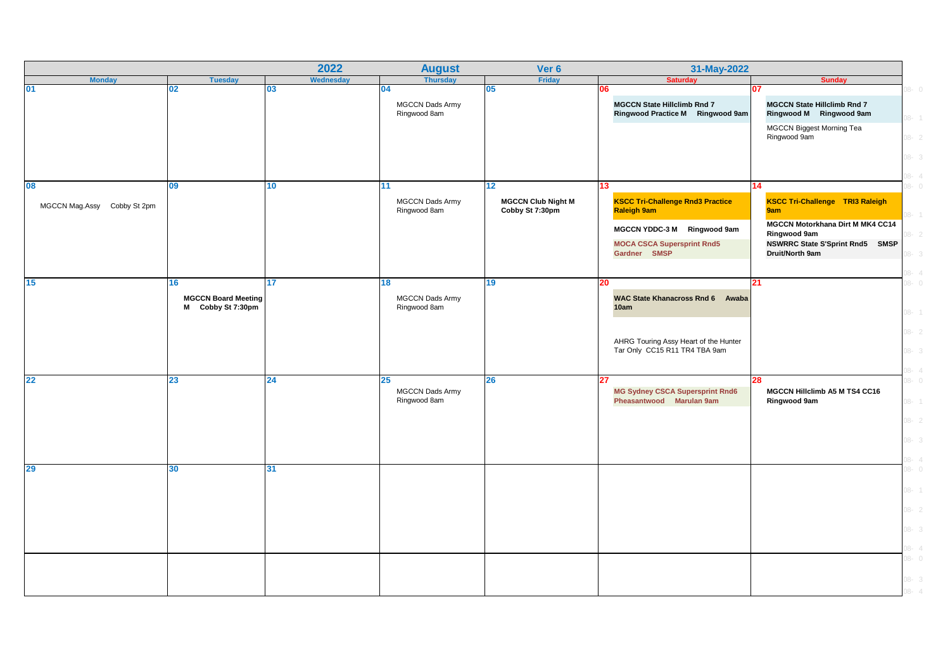|                             |                                                 | 2022             | <b>August</b>                                | Ver 6                                        | 31-May-2022                                                                  |                                                                                             |
|-----------------------------|-------------------------------------------------|------------------|----------------------------------------------|----------------------------------------------|------------------------------------------------------------------------------|---------------------------------------------------------------------------------------------|
| <b>Monday</b>               | <b>Tuesday</b>                                  | <b>Wednesday</b> | <b>Thursday</b>                              | Friday                                       | <b>Saturday</b>                                                              | <b>Sunday</b>                                                                               |
| 01                          | 02                                              | 03               | 04<br><b>MGCCN Dads Army</b><br>Ringwood 8am | 05                                           | 06<br><b>MGCCN State Hillclimb Rnd 7</b><br>Ringwood Practice M Ringwood 9am | $0 - 80$<br>דנ<br><b>MGCCN State Hillclimb Rnd 7</b><br>Ringwood M Ringwood 9am<br>$08 - 1$ |
|                             |                                                 |                  |                                              |                                              |                                                                              | MGCCN Biggest Morning Tea<br>Ringwood 9am<br>$08 - 2$                                       |
|                             |                                                 |                  |                                              |                                              |                                                                              | 08-3<br>$08 - 4$                                                                            |
| 80                          | 09                                              | 10 <sup>1</sup>  | 11 <sub>1</sub>                              | 12 <sub>2</sub>                              | 13                                                                           | 14<br>$0 - 80$                                                                              |
| MGCCN Mag.Assy Cobby St 2pm |                                                 |                  | <b>MGCCN Dads Army</b><br>Ringwood 8am       | <b>MGCCN Club Night M</b><br>Cobby St 7:30pm | <b>KSCC Tri-Challenge Rnd3 Practice</b><br><b>Raleigh 9am</b>                | <b>KSCC Tri-Challenge TRI3 Raleigh</b><br>9am<br>$08 - 1$                                   |
|                             |                                                 |                  |                                              |                                              | MGCCN YDDC-3 M Ringwood 9am                                                  | MGCCN Motorkhana Dirt M MK4 CC14<br>Ringwood 9am<br>$8 - 2$                                 |
|                             |                                                 |                  |                                              |                                              | <b>MOCA CSCA Supersprint Rnd5</b>                                            | NSWRRC State S'Sprint Rnd5 SMSP                                                             |
|                             |                                                 |                  |                                              |                                              | Gardner SMSP                                                                 | Druit/North 9am<br>3-3                                                                      |
|                             |                                                 |                  |                                              |                                              |                                                                              | $08 - 4$                                                                                    |
| 15                          | 16                                              | 17 <sup>17</sup> | 18                                           | 19                                           | 20                                                                           | 21<br>$0 - 80$                                                                              |
|                             | <b>MGCCN Board Meeting</b><br>M Cobby St 7:30pm |                  | <b>MGCCN Dads Army</b><br>Ringwood 8am       |                                              | <b>WAC State Khanacross Rnd 6 Awaba</b><br>10am                              | $08 - 1$                                                                                    |
|                             |                                                 |                  |                                              |                                              |                                                                              | $08 - 2$                                                                                    |
|                             |                                                 |                  |                                              |                                              | AHRG Touring Assy Heart of the Hunter<br>Tar Only CC15 R11 TR4 TBA 9am       | $08 - 3$                                                                                    |
|                             |                                                 |                  |                                              |                                              |                                                                              | $-4$                                                                                        |
| 22                          | 23                                              | 24               | 25<br><b>MGCCN Dads Army</b><br>Ringwood 8am | 26                                           | 27<br><b>MG Sydney CSCA Supersprint Rnd6</b><br>Pheasantwood Marulan 9am     | 28<br>$0 - 80$<br>MGCCN Hillclimb A5 M TS4 CC16<br>$08 - 1$<br>Ringwood 9am                 |
|                             |                                                 |                  |                                              |                                              |                                                                              | $08 - 2$                                                                                    |
|                             |                                                 |                  |                                              |                                              |                                                                              |                                                                                             |
|                             |                                                 |                  |                                              |                                              |                                                                              | $08 - 3$                                                                                    |
|                             |                                                 |                  |                                              |                                              |                                                                              | $08 - 4$                                                                                    |
| 29                          | 30                                              | 31               |                                              |                                              |                                                                              | $08 - 0$                                                                                    |
|                             |                                                 |                  |                                              |                                              |                                                                              | $08 - 1$                                                                                    |
|                             |                                                 |                  |                                              |                                              |                                                                              |                                                                                             |
|                             |                                                 |                  |                                              |                                              |                                                                              | $08 - 2$                                                                                    |
|                             |                                                 |                  |                                              |                                              |                                                                              | $08 - 3$                                                                                    |
|                             |                                                 |                  |                                              |                                              |                                                                              | $08 - 4$                                                                                    |
|                             |                                                 |                  |                                              |                                              |                                                                              | $08 - 0$                                                                                    |
|                             |                                                 |                  |                                              |                                              |                                                                              |                                                                                             |
|                             |                                                 |                  |                                              |                                              |                                                                              | $08 - 3$<br>$8 - 2$                                                                         |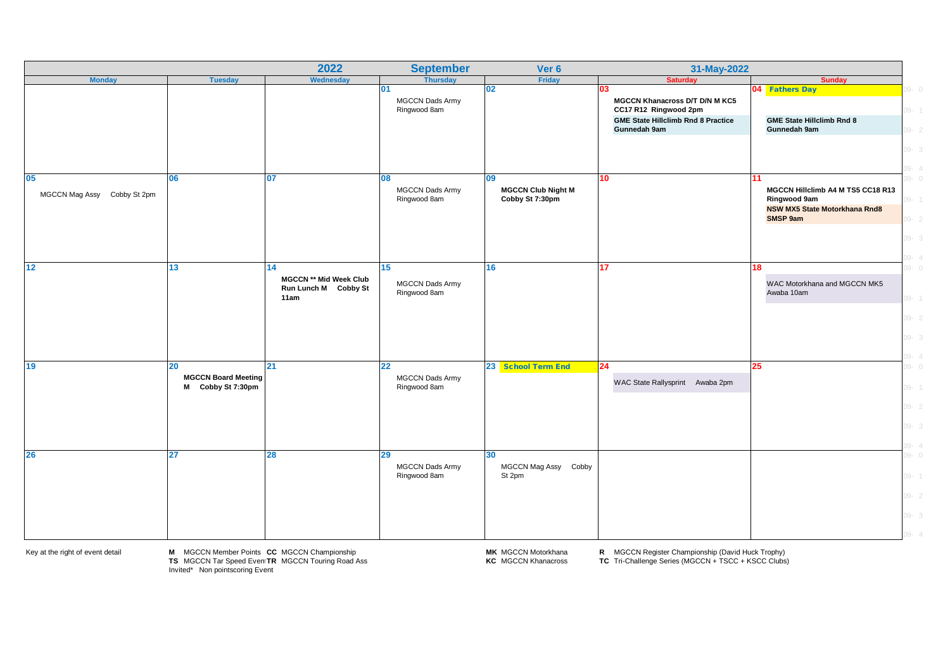|                                      |                                                           | 2022                                                                | <b>September</b>                             | Ver 6                                              | 31-May-2022                                                                                                                       |                                                                                                                    |                                                          |
|--------------------------------------|-----------------------------------------------------------|---------------------------------------------------------------------|----------------------------------------------|----------------------------------------------------|-----------------------------------------------------------------------------------------------------------------------------------|--------------------------------------------------------------------------------------------------------------------|----------------------------------------------------------|
| <b>Monday</b>                        | <b>Tuesday</b>                                            | Wednesday                                                           | <b>Thursday</b>                              | Friday                                             | <b>Saturday</b>                                                                                                                   | <b>Sunday</b>                                                                                                      |                                                          |
|                                      |                                                           |                                                                     | 01<br>MGCCN Dads Army<br>Ringwood 8am        | 02                                                 | 03<br><b>MGCCN Khanacross D/T D/N M KC5</b><br>CC17 R12 Ringwood 2pm<br><b>GME State Hillclimb Rnd 8 Practice</b><br>Gunnedah 9am | 04 Fathers Day<br><b>GME State Hillclimb Rnd 8</b>                                                                 | $0 - 0$<br>$09 - 1$                                      |
|                                      |                                                           |                                                                     |                                              |                                                    |                                                                                                                                   | Gunnedah 9am                                                                                                       | $09 - 2$<br>$09 - 3$<br>$09 - 4$                         |
| 05<br>MGCCN Mag Assy<br>Cobby St 2pm | <b>06</b>                                                 | 07                                                                  | 08<br><b>MGCCN Dads Army</b><br>Ringwood 8am | 09<br><b>MGCCN Club Night M</b><br>Cobby St 7:30pm | 10                                                                                                                                | 11<br>MGCCN Hillclimb A4 M TS5 CC18 R13<br>Ringwood 9am<br><b>NSW MX5 State Motorkhana Rnd8</b><br><b>SMSP 9am</b> | $09 - 0$<br>$09 - 1$<br>$09 - 2$<br>$09 - 3$<br>$09 - 4$ |
| 12                                   | 13                                                        | 14<br><b>MGCCN ** Mid Week Club</b><br>Run Lunch M Cobby St<br>11am | 15<br><b>MGCCN Dads Army</b><br>Ringwood 8am | 16                                                 | 17                                                                                                                                | 18<br>WAC Motorkhana and MGCCN MK5<br>Awaba 10am                                                                   | $09 - 0$<br>$09 - 1$<br>$09 - 2$<br>$09 - 3$<br>$09 - 4$ |
| 19                                   | $20\,$<br><b>MGCCN Board Meeting</b><br>M Cobby St 7:30pm | 21                                                                  | 22<br><b>MGCCN Dads Army</b><br>Ringwood 8am | 23 School Term End                                 | 24<br>WAC State Rallysprint Awaba 2pm                                                                                             | 25                                                                                                                 | $09 - 0$<br>$09 - 1$<br>$09 - 2$<br>$09 - 3$<br>$09 - 4$ |
| 26                                   | 27                                                        | 28                                                                  | 29<br><b>MGCCN Dads Army</b><br>Ringwood 8am | 30<br>MGCCN Mag Assy Cobby<br>St 2pm               |                                                                                                                                   |                                                                                                                    | $09 - 0$<br>$09 - 1$<br>$09 - 2$<br>$09 - 3$<br>$9 - 4$  |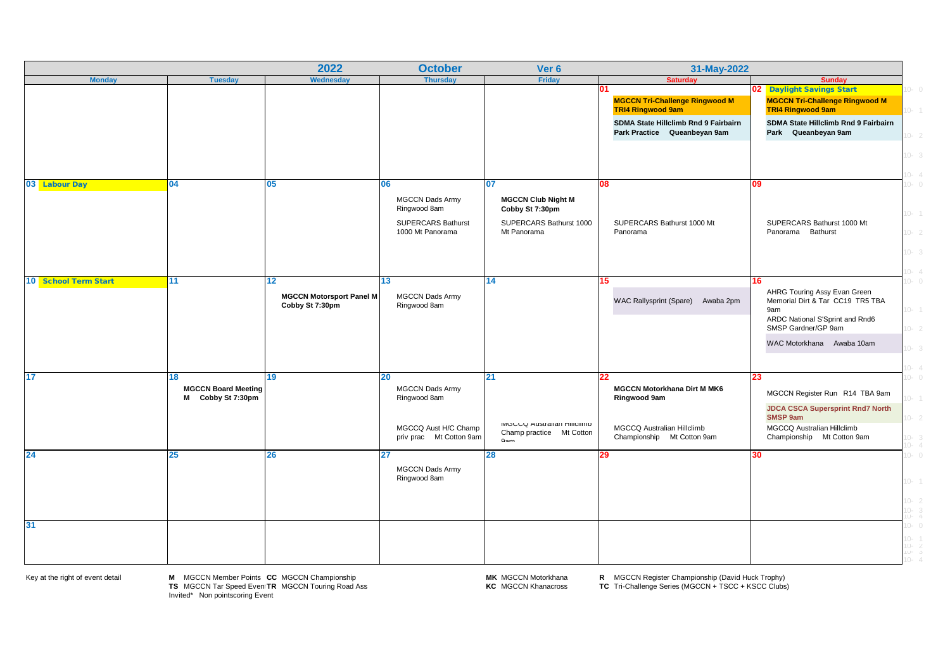|                      |                                                       | 2022                                                     | <b>October</b>                                                                                  | Ver 6                                                                                  | 31-May-2022                                                                                                          |                                                                                                                                                                      |                                                          |
|----------------------|-------------------------------------------------------|----------------------------------------------------------|-------------------------------------------------------------------------------------------------|----------------------------------------------------------------------------------------|----------------------------------------------------------------------------------------------------------------------|----------------------------------------------------------------------------------------------------------------------------------------------------------------------|----------------------------------------------------------|
| <b>Monday</b>        | <b>Tuesday</b>                                        | <b>Wednesday</b>                                         | <b>Thursday</b>                                                                                 | <b>Friday</b>                                                                          | <b>Saturday</b>                                                                                                      | <b>Sunday</b>                                                                                                                                                        |                                                          |
|                      |                                                       |                                                          |                                                                                                 |                                                                                        | 01<br><b>MGCCN Tri-Challenge Ringwood M</b><br><b>TRI4 Ringwood 9am</b>                                              | 02 Daylight Savings Start<br><b>MGCCN Tri-Challenge Ringwood M</b><br><b>TRI4 Ringwood 9am</b>                                                                       | $10 - 0$<br>$10 - 1$                                     |
|                      |                                                       |                                                          |                                                                                                 |                                                                                        | SDMA State Hillclimb Rnd 9 Fairbairn<br>Park Practice Queanbeyan 9am                                                 | SDMA State Hillclimb Rnd 9 Fairbairn<br>Park Queanbeyan 9am                                                                                                          | $10 - 2$                                                 |
|                      |                                                       |                                                          |                                                                                                 |                                                                                        |                                                                                                                      |                                                                                                                                                                      | $10 - 3$<br>$10 - 4$                                     |
| 03 Labour Day        | 04                                                    | 05                                                       | 06                                                                                              | 07                                                                                     | 80                                                                                                                   | 09                                                                                                                                                                   | $10 - 0$                                                 |
|                      |                                                       |                                                          | <b>MGCCN Dads Army</b><br>Ringwood 8am<br><b>SUPERCARS Bathurst</b><br>1000 Mt Panorama         | <b>MGCCN Club Night M</b><br>Cobby St 7:30pm<br>SUPERCARS Bathurst 1000<br>Mt Panorama | SUPERCARS Bathurst 1000 Mt<br>Panorama                                                                               | SUPERCARS Bathurst 1000 Mt<br>Panorama Bathurst                                                                                                                      | $10 - 1$<br>$10 - 2$<br>$10 - 3$<br>$10 - 4$             |
| 10 School Term Start | 11                                                    | 12<br><b>MGCCN Motorsport Panel M</b><br>Cobby St 7:30pm | 13<br><b>MGCCN Dads Army</b><br>Ringwood 8am                                                    | 14                                                                                     | 15 <sub>1</sub><br>WAC Rallysprint (Spare) Awaba 2pm                                                                 | 16<br>AHRG Touring Assy Evan Green<br>Memorial Dirt & Tar CC19 TR5 TBA<br>9am<br>ARDC National S'Sprint and Rnd6<br>SMSP Gardner/GP 9am<br>WAC Motorkhana Awaba 10am | $10 - 0$<br>$10 - 1$<br>$10 - 2$<br>$10 - 3$<br>$10 - 4$ |
| 17                   | 18<br><b>MGCCN Board Meeting</b><br>M Cobby St 7:30pm | 19                                                       | 20<br><b>MGCCN Dads Army</b><br>Ringwood 8am<br>MGCCQ Aust H/C Champ<br>priv prac Mt Cotton 9am | 21<br>MIGUU AUStralian HillClimp<br>Champ practice Mt Cotton<br>0 <sub>2</sub>         | 22<br><b>MGCCN Motorkhana Dirt M MK6</b><br>Ringwood 9am<br>MGCCQ Australian Hillclimb<br>Championship Mt Cotton 9am | 23<br>MGCCN Register Run R14 TBA 9am<br><b>JDCA CSCA Supersprint Rnd7 North</b><br>SMSP 9am<br>MGCCQ Australian Hillclimb<br>Championship Mt Cotton 9am              | $10 - 0$<br>$0 - 1$<br>$10 - 2$<br>$10 - 3$<br>$10 - 4$  |
| 24                   | 25                                                    | 26                                                       | 27<br><b>MGCCN Dads Army</b><br>Ringwood 8am                                                    | 28                                                                                     | 29                                                                                                                   | 30                                                                                                                                                                   | $10 - 0$<br>$10 - 1$<br>$10 - 2$<br>$10-3$<br>$10-4$     |
| 31                   |                                                       |                                                          |                                                                                                 |                                                                                        |                                                                                                                      |                                                                                                                                                                      | $10 - 0$<br>$10-1$<br>$10-2$<br>$10-3$<br>$0 - 4$        |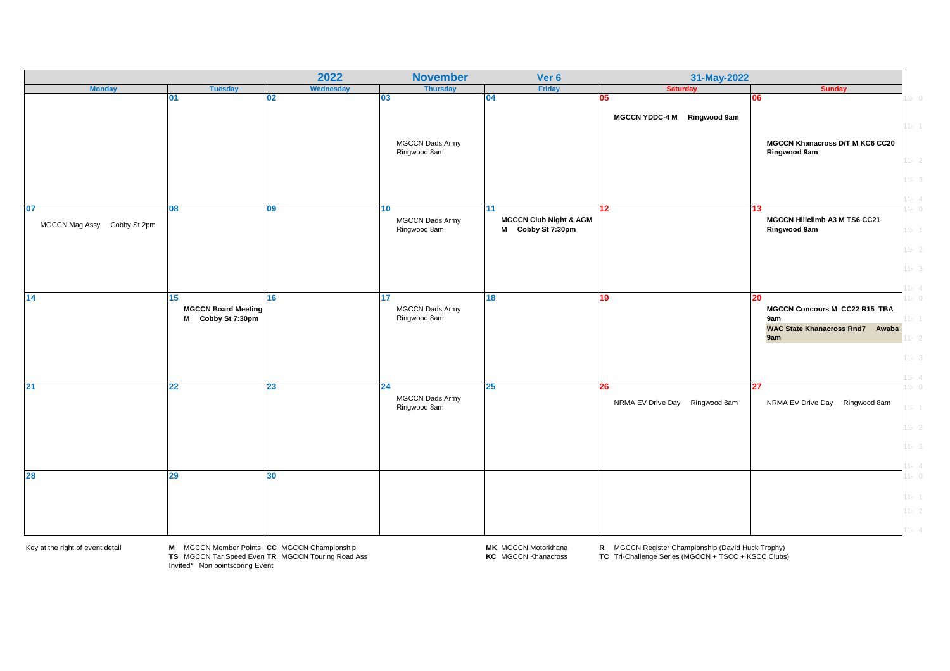|                             |                                                 | 2022                     | <b>November</b>                        | Ver 6                                                  | 31-May-2022                       |                                                                                             |                                  |
|-----------------------------|-------------------------------------------------|--------------------------|----------------------------------------|--------------------------------------------------------|-----------------------------------|---------------------------------------------------------------------------------------------|----------------------------------|
| <b>Monday</b>               | <b>Tuesday</b>                                  | Wednesday                | <b>Thursday</b>                        | Friday                                                 | <b>Saturday</b>                   | <b>Sunday</b>                                                                               |                                  |
| 01                          |                                                 | 02                       | 03                                     | 04                                                     | 05<br>MGCCN YDDC-4 M Ringwood 9am | 06                                                                                          | $11 - 0$<br>$11 - 1$             |
|                             |                                                 |                          | MGCCN Dads Army<br>Ringwood 8am        |                                                        |                                   | <b>MGCCN Khanacross D/T M KC6 CC20</b><br>Ringwood 9am                                      | $11 - 2$                         |
| 07<br>08                    |                                                 | $\overline{\mathbf{09}}$ | 10                                     | 11                                                     | 12                                | 13                                                                                          | $11 - 3$<br>$11 - 4$<br>$11 - 0$ |
| MGCCN Mag Assy Cobby St 2pm |                                                 |                          | <b>MGCCN Dads Army</b><br>Ringwood 8am | <b>MGCCN Club Night &amp; AGM</b><br>M Cobby St 7:30pm |                                   | MGCCN Hillclimb A3 M TS6 CC21<br>Ringwood 9am                                               | $11 - 1$                         |
|                             |                                                 |                          |                                        |                                                        |                                   |                                                                                             | $11 - 2$<br>$11 - 3$<br>$1 - 4$  |
| 14<br>15                    | <b>MGCCN Board Meeting</b><br>M Cobby St 7:30pm | 16                       | 17<br>MGCCN Dads Army<br>Ringwood 8am  | 18                                                     | 19                                | 20<br>MGCCN Concours M CC22 R15 TBA<br>9am<br><b>WAC State Khanacross Rnd7</b> Awaba<br>9am | $1 - 0$<br>$1 - 1$<br>$11 - 2$   |
| 21<br>22                    |                                                 | 23                       | 24                                     | <b>25</b>                                              | 26                                | 27                                                                                          | $1 - 3$<br>$1 - 4$<br>$1 - 0$    |
|                             |                                                 |                          | MGCCN Dads Army<br>Ringwood 8am        |                                                        | NRMA EV Drive Day Ringwood 8am    | NRMA EV Drive Day Ringwood 8am                                                              | $11 - 1$<br>$11 - 2$             |
|                             |                                                 |                          |                                        |                                                        |                                   |                                                                                             | $11 - 3$<br>$11 - 4$             |
| 28<br>29                    |                                                 | 30                       |                                        |                                                        |                                   |                                                                                             | $11 - 0$<br>$11 - 1$             |
|                             |                                                 |                          |                                        |                                                        |                                   |                                                                                             | $11 - 2$                         |